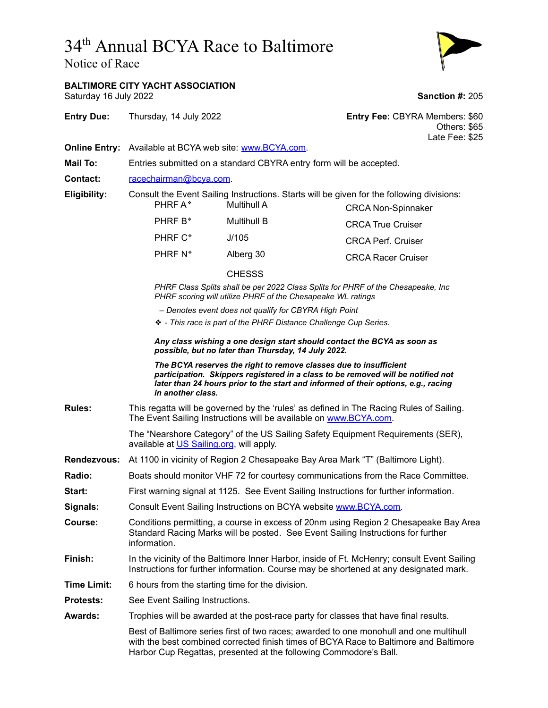## 34 th Annual BCYA Race to Baltimore

Notice of Race



| Saturday 16 July 2022 | <b>BALTIMORE CITY YACHT ASSOCIATION</b>                                                                                                                                                  |                                                                                                                                                                                                                                             | Sanction #: 205                                                                                                                                                                 |
|-----------------------|------------------------------------------------------------------------------------------------------------------------------------------------------------------------------------------|---------------------------------------------------------------------------------------------------------------------------------------------------------------------------------------------------------------------------------------------|---------------------------------------------------------------------------------------------------------------------------------------------------------------------------------|
| <b>Entry Due:</b>     | Thursday, 14 July 2022                                                                                                                                                                   |                                                                                                                                                                                                                                             | Entry Fee: CBYRA Members: \$60<br>Others: \$65<br>Late Fee: \$25                                                                                                                |
|                       | Online Entry: Available at BCYA web site: www.BCYA.com.                                                                                                                                  |                                                                                                                                                                                                                                             |                                                                                                                                                                                 |
| Mail To:              | Entries submitted on a standard CBYRA entry form will be accepted.                                                                                                                       |                                                                                                                                                                                                                                             |                                                                                                                                                                                 |
| <b>Contact:</b>       | racechairman@bcva.com.                                                                                                                                                                   |                                                                                                                                                                                                                                             |                                                                                                                                                                                 |
| Eligibility:          | PHRF A*                                                                                                                                                                                  | <b>Multihull A</b>                                                                                                                                                                                                                          | Consult the Event Sailing Instructions. Starts will be given for the following divisions:<br><b>CRCA Non-Spinnaker</b>                                                          |
|                       | PHRF B <sup>*</sup>                                                                                                                                                                      | Multihull B                                                                                                                                                                                                                                 | <b>CRCA True Cruiser</b>                                                                                                                                                        |
|                       | PHRF C*                                                                                                                                                                                  | J/105                                                                                                                                                                                                                                       | <b>CRCA Perf. Cruiser</b>                                                                                                                                                       |
|                       | PHRF N*                                                                                                                                                                                  | Alberg 30                                                                                                                                                                                                                                   | <b>CRCA Racer Cruiser</b>                                                                                                                                                       |
|                       |                                                                                                                                                                                          | <b>CHESSS</b>                                                                                                                                                                                                                               |                                                                                                                                                                                 |
|                       | PHRF Class Splits shall be per 2022 Class Splits for PHRF of the Chesapeake, Inc<br>PHRF scoring will utilize PHRF of the Chesapeake WL ratings                                          |                                                                                                                                                                                                                                             |                                                                                                                                                                                 |
|                       | - Denotes event does not qualify for CBYRA High Point                                                                                                                                    |                                                                                                                                                                                                                                             |                                                                                                                                                                                 |
|                       | * - This race is part of the PHRF Distance Challenge Cup Series.                                                                                                                         |                                                                                                                                                                                                                                             |                                                                                                                                                                                 |
|                       | Any class wishing a one design start should contact the BCYA as soon as<br>possible, but no later than Thursday, 14 July 2022.                                                           |                                                                                                                                                                                                                                             |                                                                                                                                                                                 |
|                       | in another class.                                                                                                                                                                        | The BCYA reserves the right to remove classes due to insufficient<br>participation. Skippers registered in a class to be removed will be notified not<br>later than 24 hours prior to the start and informed of their options, e.g., racing |                                                                                                                                                                                 |
| <b>Rules:</b>         | This regatta will be governed by the 'rules' as defined in The Racing Rules of Sailing.<br>The Event Sailing Instructions will be available on www.BCYA.com.                             |                                                                                                                                                                                                                                             |                                                                                                                                                                                 |
|                       | The "Nearshore Category" of the US Sailing Safety Equipment Requirements (SER),<br>available at US Sailing org, will apply.                                                              |                                                                                                                                                                                                                                             |                                                                                                                                                                                 |
| Rendezvous:           | At 1100 in vicinity of Region 2 Chesapeake Bay Area Mark "T" (Baltimore Light).                                                                                                          |                                                                                                                                                                                                                                             |                                                                                                                                                                                 |
| Radio:                | Boats should monitor VHF 72 for courtesy communications from the Race Committee.                                                                                                         |                                                                                                                                                                                                                                             |                                                                                                                                                                                 |
| Start:                | First warning signal at 1125. See Event Sailing Instructions for further information.                                                                                                    |                                                                                                                                                                                                                                             |                                                                                                                                                                                 |
| Signals:              | Consult Event Sailing Instructions on BCYA website www.BCYA.com.                                                                                                                         |                                                                                                                                                                                                                                             |                                                                                                                                                                                 |
| Course:               | Conditions permitting, a course in excess of 20nm using Region 2 Chesapeake Bay Area<br>Standard Racing Marks will be posted. See Event Sailing Instructions for further<br>information. |                                                                                                                                                                                                                                             |                                                                                                                                                                                 |
| Finish:               | In the vicinity of the Baltimore Inner Harbor, inside of Ft. McHenry; consult Event Sailing<br>Instructions for further information. Course may be shortened at any designated mark.     |                                                                                                                                                                                                                                             |                                                                                                                                                                                 |
| <b>Time Limit:</b>    | 6 hours from the starting time for the division.                                                                                                                                         |                                                                                                                                                                                                                                             |                                                                                                                                                                                 |
| <b>Protests:</b>      | See Event Sailing Instructions.                                                                                                                                                          |                                                                                                                                                                                                                                             |                                                                                                                                                                                 |
| <b>Awards:</b>        | Trophies will be awarded at the post-race party for classes that have final results.                                                                                                     |                                                                                                                                                                                                                                             |                                                                                                                                                                                 |
|                       |                                                                                                                                                                                          | Harbor Cup Regattas, presented at the following Commodore's Ball.                                                                                                                                                                           | Best of Baltimore series first of two races; awarded to one monohull and one multihull<br>with the best combined corrected finish times of BCYA Race to Baltimore and Baltimore |